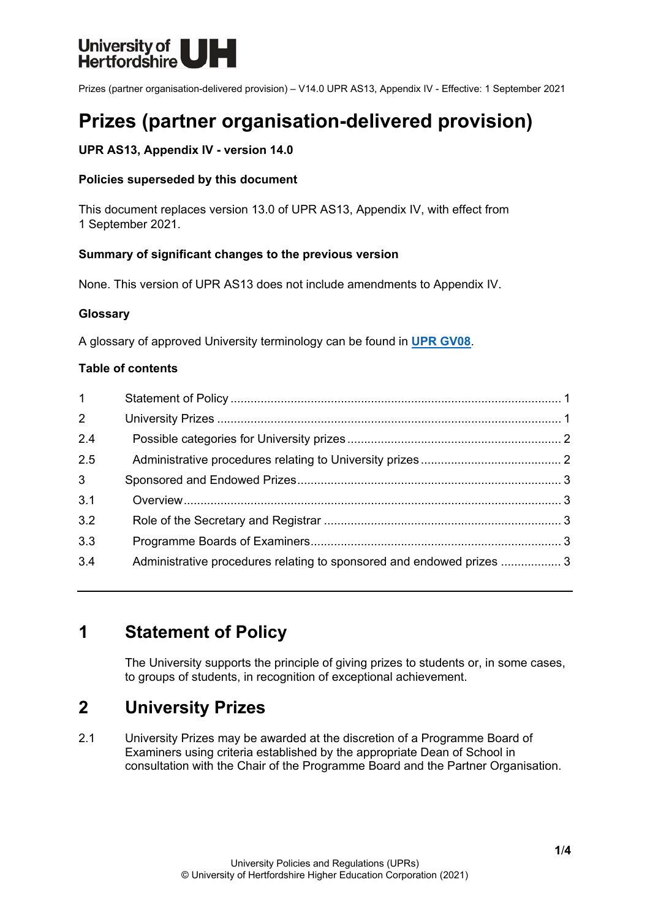

Prizes (partner organisation-delivered provision) – V14.0 UPR AS13, Appendix IV - Effective: 1 September 2021

# **Prizes (partner organisation-delivered provision)**

# **UPR AS13, Appendix IV - version 14.0**

# **Policies superseded by this document**

This document replaces version 13.0 of UPR AS13, Appendix IV, with effect from 1 September 2021.

# **Summary of significant changes to the previous version**

None. This version of UPR AS13 does not include amendments to Appendix IV.

# **Glossary**

A glossary of approved University terminology can be found in **[UPR GV08](https://www.herts.ac.uk/__data/assets/pdf_file/0020/233057/GV08-Glossary-of-Terminology.pdf)**.

# **Table of contents**

| $1 -$          |                                                                       |  |
|----------------|-----------------------------------------------------------------------|--|
| $2^{\circ}$    |                                                                       |  |
| 2.4            |                                                                       |  |
| 2.5            |                                                                       |  |
| 3 <sup>1</sup> |                                                                       |  |
| 3.1            |                                                                       |  |
| 3.2            |                                                                       |  |
| 3.3            |                                                                       |  |
| 3.4            | Administrative procedures relating to sponsored and endowed prizes  3 |  |

# <span id="page-0-0"></span>**1 Statement of Policy**

The University supports the principle of giving prizes to students or, in some cases, to groups of students, in recognition of exceptional achievement.

# <span id="page-0-1"></span>**2 University Prizes**

2.1 University Prizes may be awarded at the discretion of a Programme Board of Examiners using criteria established by the appropriate Dean of School in consultation with the Chair of the Programme Board and the Partner Organisation.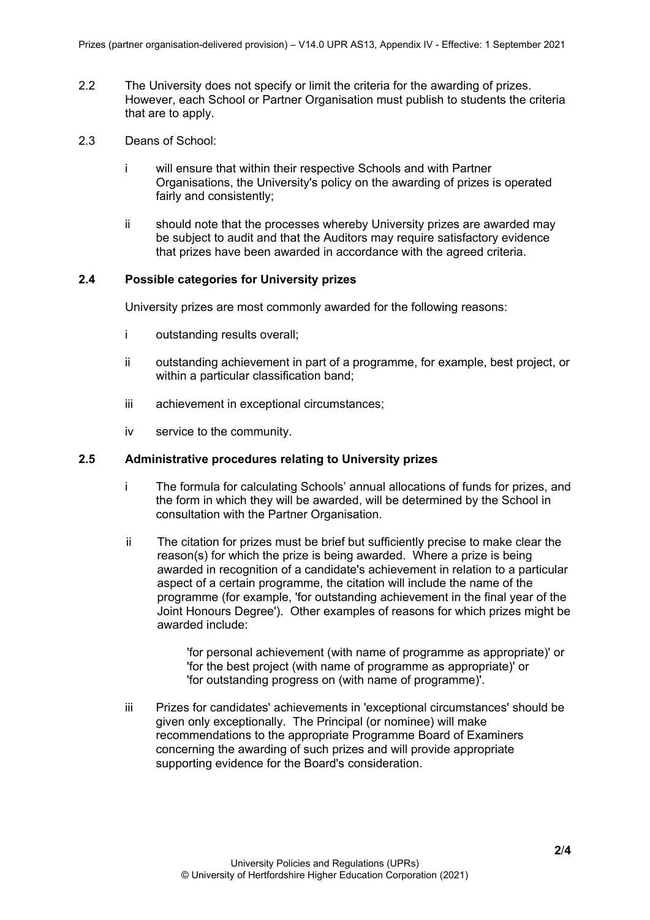- 2.2 The University does not specify or limit the criteria for the awarding of prizes. However, each School or Partner Organisation must publish to students the criteria that are to apply.
- 2.3 Deans of School:
	- i will ensure that within their respective Schools and with Partner Organisations, the University's policy on the awarding of prizes is operated fairly and consistently;
	- ii should note that the processes whereby University prizes are awarded may be subject to audit and that the Auditors may require satisfactory evidence that prizes have been awarded in accordance with the agreed criteria.

### <span id="page-1-0"></span>**2.4 Possible categories for University prizes**

University prizes are most commonly awarded for the following reasons:

- i outstanding results overall;
- ii outstanding achievement in part of a programme, for example, best project, or within a particular classification band;
- iii achievement in exceptional circumstances;
- iv service to the community.

# <span id="page-1-1"></span>**2.5 Administrative procedures relating to University prizes**

- i The formula for calculating Schools' annual allocations of funds for prizes, and the form in which they will be awarded, will be determined by the School in consultation with the Partner Organisation.
- ii The citation for prizes must be brief but sufficiently precise to make clear the reason(s) for which the prize is being awarded. Where a prize is being awarded in recognition of a candidate's achievement in relation to a particular aspect of a certain programme, the citation will include the name of the programme (for example, 'for outstanding achievement in the final year of the Joint Honours Degree'). Other examples of reasons for which prizes might be awarded include:

'for personal achievement (with name of programme as appropriate)' or 'for the best project (with name of programme as appropriate)' or 'for outstanding progress on (with name of programme)'.

iii Prizes for candidates' achievements in 'exceptional circumstances' should be given only exceptionally. The Principal (or nominee) will make recommendations to the appropriate Programme Board of Examiners concerning the awarding of such prizes and will provide appropriate supporting evidence for the Board's consideration.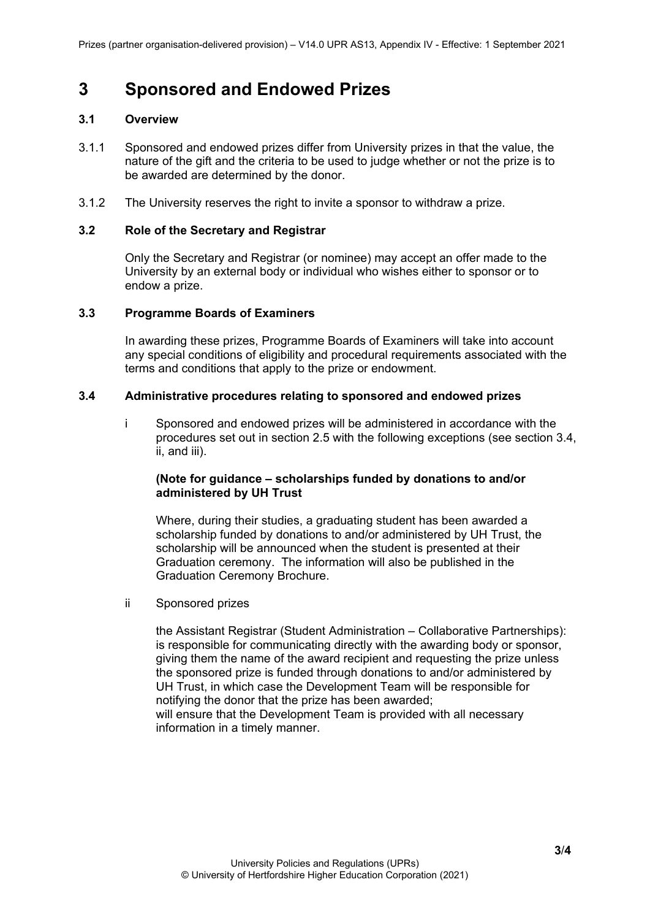# <span id="page-2-0"></span>**3 Sponsored and Endowed Prizes**

#### <span id="page-2-1"></span>**3.1 Overview**

- 3.1.1 Sponsored and endowed prizes differ from University prizes in that the value, the nature of the gift and the criteria to be used to judge whether or not the prize is to be awarded are determined by the donor.
- 3.1.2 The University reserves the right to invite a sponsor to withdraw a prize.

#### <span id="page-2-2"></span>**3.2 Role of the Secretary and Registrar**

Only the Secretary and Registrar (or nominee) may accept an offer made to the University by an external body or individual who wishes either to sponsor or to endow a prize.

#### <span id="page-2-3"></span>**3.3 Programme Boards of Examiners**

In awarding these prizes, Programme Boards of Examiners will take into account any special conditions of eligibility and procedural requirements associated with the terms and conditions that apply to the prize or endowment.

### <span id="page-2-4"></span>**3.4 Administrative procedures relating to sponsored and endowed prizes**

i Sponsored and endowed prizes will be administered in accordance with the procedures set out in section 2.5 with the following exceptions (see section 3.4, ii, and iii).

### **(Note for guidance – scholarships funded by donations to and/or administered by UH Trust**

Where, during their studies, a graduating student has been awarded a scholarship funded by donations to and/or administered by UH Trust, the scholarship will be announced when the student is presented at their Graduation ceremony. The information will also be published in the Graduation Ceremony Brochure.

ii Sponsored prizes

the Assistant Registrar (Student Administration – Collaborative Partnerships): is responsible for communicating directly with the awarding body or sponsor, giving them the name of the award recipient and requesting the prize unless the sponsored prize is funded through donations to and/or administered by UH Trust, in which case the Development Team will be responsible for notifying the donor that the prize has been awarded; will ensure that the Development Team is provided with all necessary information in a timely manner.